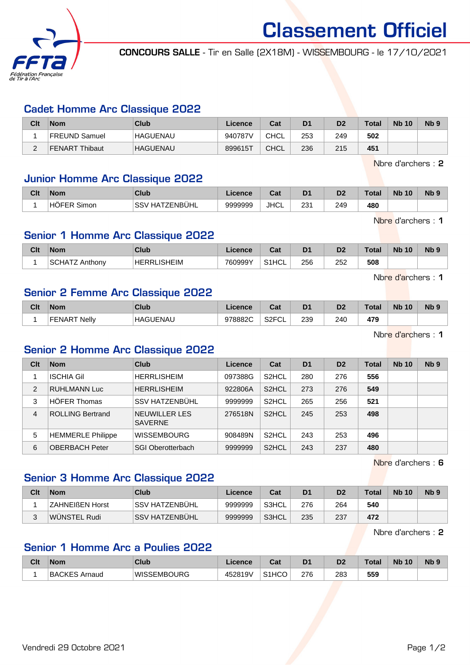

Classement Officiel

CONCOURS SALLE - Tir en Salle (2X18M) - WISSEMBOURG - le 17/10/2021

#### Cadet Homme Arc Classique 2022

| Clt    | <b>Nom</b>     | Club            | Licence | Cat         | D <sub>1</sub> | D <sub>2</sub> | Total | <b>Nb 10</b> | N <sub>b</sub> 9 |
|--------|----------------|-----------------|---------|-------------|----------------|----------------|-------|--------------|------------------|
|        | FREUND Samuel  | <b>HAGUENAU</b> | 940787V | <b>CHCL</b> | 253            | 249            | 502   |              |                  |
| ⌒<br>- | FENART Thibaut | <b>HAGUENAU</b> | 899615T | <b>CHCL</b> | 236            | 215            | 451   |              |                  |

Nbre d'archers : 2

# Junior Homme Arc Classique 2022

| Clt | <b>Nom</b>  | <b>Club</b>              | .icence | ו ה<br>val  | D <sub>1</sub>        | n <sub>o</sub> | 'otal | <b>Nb 10</b> | N <sub>b</sub> <sub>9</sub> |
|-----|-------------|--------------------------|---------|-------------|-----------------------|----------------|-------|--------------|-----------------------------|
|     | Simon<br>HU | 'ATZENBÜHL<br>SSV<br>HA1 | 9999999 | <b>JHCL</b> | ດລ4<br>ا ت∠<br>$\sim$ | 249<br>___     | 480   |              |                             |

Nbre d'archers : 1

## Senior 1 Homme Arc Classique 2022

| Clt | <b>Nom</b> | Club                   | icence  | ่∩ื่∽∗<br>ua       | D <sub>1</sub> | D <sub>2</sub> | Total | <b>Nb</b><br>10 | N <sub>b</sub> <sub>9</sub> |
|-----|------------|------------------------|---------|--------------------|----------------|----------------|-------|-----------------|-----------------------------|
|     | nthony     | _ISHEIM<br><b>HERR</b> | 760999Y | <b>HCL</b><br>0.41 | 256<br>__      | 252<br>____    | 508   |                 |                             |

Nbre d'archers : 1

# Senior 2 Femme Arc Classique 2022

| Clt | <b>Nom</b>      | Club                  | Licence | <b>Date</b><br>ual         | D <sub>1</sub> | D <sub>2</sub> | 'otal | <b>N<sub>b</sub></b><br>10 | N <sub>b</sub> <sub>9</sub> |
|-----|-----------------|-----------------------|---------|----------------------------|----------------|----------------|-------|----------------------------|-----------------------------|
|     | Nelly<br>FFNART | <sup>1</sup> HAGUENAU | 978882C | <b>SOECI</b><br>، ےت<br>◡∟ | 239            | 240            | 479   |                            |                             |

Nbre d'archers : 1

#### Senior 2 Homme Arc Classique 2022

| Clt            | <b>Nom</b>               | <b>Club</b>                     | Licence | Cat                | D <sub>1</sub> | D <sub>2</sub> | <b>Total</b> | <b>Nb 10</b> | N <sub>b</sub> <sub>9</sub> |
|----------------|--------------------------|---------------------------------|---------|--------------------|----------------|----------------|--------------|--------------|-----------------------------|
|                | <b>ISCHIA Gil</b>        | <b>HERRLISHEIM</b>              | 097388G | S <sub>2</sub> HCL | 280            | 276            | 556          |              |                             |
| 2              | <b>RUHLMANN Luc</b>      | <b>HERRLISHEIM</b>              | 922806A | S <sub>2</sub> HCL | 273            | 276            | 549          |              |                             |
| 3              | <b>HÖFER Thomas</b>      | <b>SSV HATZENBÜHL</b>           | 9999999 | S <sub>2</sub> HCL | 265            | 256            | 521          |              |                             |
| $\overline{4}$ | <b>ROLLING Bertrand</b>  | NEUWILLER LES<br><b>SAVERNE</b> | 276518N | S <sub>2</sub> HCL | 245            | 253            | 498          |              |                             |
| 5              | <b>HEMMERLE Philippe</b> | <b>WISSEMBOURG</b>              | 908489N | S <sub>2</sub> HCL | 243            | 253            | 496          |              |                             |
| 6              | <b>OBERBACH Peter</b>    | <b>SGI Oberotterbach</b>        | 9999999 | S <sub>2</sub> HCL | 243            | 237            | 480          |              |                             |

Nbre d'archers : 6

# Senior 3 Homme Arc Classique 2022

| Clt | <b>Nom</b>      | Club            | Licence | Cat   | D1  | D2  | <b>Total</b> | <b>Nb 10</b> | Nb <sub>9</sub> |
|-----|-----------------|-----------------|---------|-------|-----|-----|--------------|--------------|-----------------|
|     | ZAHNEIßEN Horst | ISSV HATZENBUHL | 9999999 | S3HCL | 276 | 264 | 540          |              |                 |
|     | WUNSTEL Rudi    | ISSV HATZENBUHL | 9999999 | S3HCL | 235 | 237 | 472          |              |                 |

Nbre d'archers : 2

# Senior 1 Homme Arc a Poulies 2022

| Clt | <b>Nom</b>    | <b>Club</b>  | ∟icence | <b>Date</b><br>⊍aι             | D <sub>1</sub> | D <sub>2</sub> | <b>Total</b> | <b>N<sub>b</sub></b><br>10 | <b>N<sub>b</sub></b> |
|-----|---------------|--------------|---------|--------------------------------|----------------|----------------|--------------|----------------------------|----------------------|
|     | BACKES Arnaud | ∣WISSEMBOURG | 452819V | S <sub>1</sub> H <sub>CO</sub> | 276            | 283            | 559          |                            |                      |